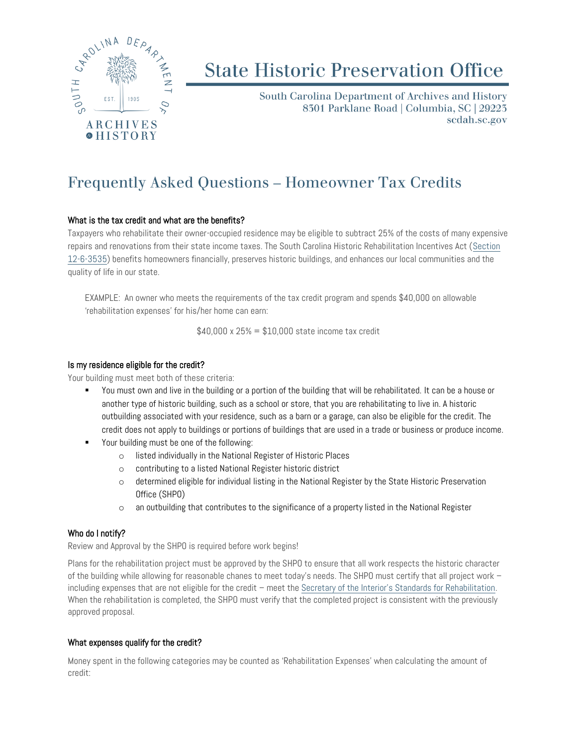

# **State Historic Preservation Office**

South Carolina Department of Archives and History 8301 Parklane Road | Columbia, SC | 29223 scdah.sc.gov

# Frequently Asked Questions – Homeowner Tax Credits

## What is the tax credit and what are the benefits?

Taxpayers who rehabilitate their owner-occupied residence may be eligible to subtract 25% of the costs of many expensive repairs and renovations from their state income taxes. The South Carolina Historic Rehabilitation Incentives Act [\(Section](https://www.scstatehouse.gov/code/t12c006.php)  [12-6-3535\)](https://www.scstatehouse.gov/code/t12c006.php) benefits homeowners financially, preserves historic buildings, and enhances our local communities and the quality of life in our state.

EXAMPLE: An owner who meets the requirements of the tax credit program and spends \$40,000 on allowable 'rehabilitation expenses' for his/her home can earn:

 $$40,000 \times 25\% = $10,000$  state income tax credit

#### Is my residence eligible for the credit?

Your building must meet both of these criteria:

- You must own and live in the building or a portion of the building that will be rehabilitated. It can be a house or another type of historic building, such as a school or store, that you are rehabilitating to live in. A historic outbuilding associated with your residence, such as a barn or a garage, can also be eligible for the credit. The credit does not apply to buildings or portions of buildings that are used in a trade or business or produce income.
- Your building must be one of the following:
	- o listed individually in the National Register of Historic Places
	- o contributing to a listed National Register historic district
	- o determined eligible for individual listing in the National Register by the State Historic Preservation Office (SHPO)
	- o an outbuilding that contributes to the significance of a property listed in the National Register

## Who do I notify?

Review and Approval by the SHPO is required before work begins!

Plans for the rehabilitation project must be approved by the SHPO to ensure that all work respects the historic character of the building while allowing for reasonable chanes to meet today's needs. The SHPO must certify that all project work – including expenses that are not eligible for the credit – meet the [Secretary of the Interior's Standards for Rehabilitation](https://www.nps.gov/tps/standards/rehabilitation.htm). When the rehabilitation is completed, the SHPO must verify that the completed project is consistent with the previously approved proposal.

#### What expenses qualify for the credit?

Money spent in the following categories may be counted as 'Rehabilitation Expenses' when calculating the amount of credit: